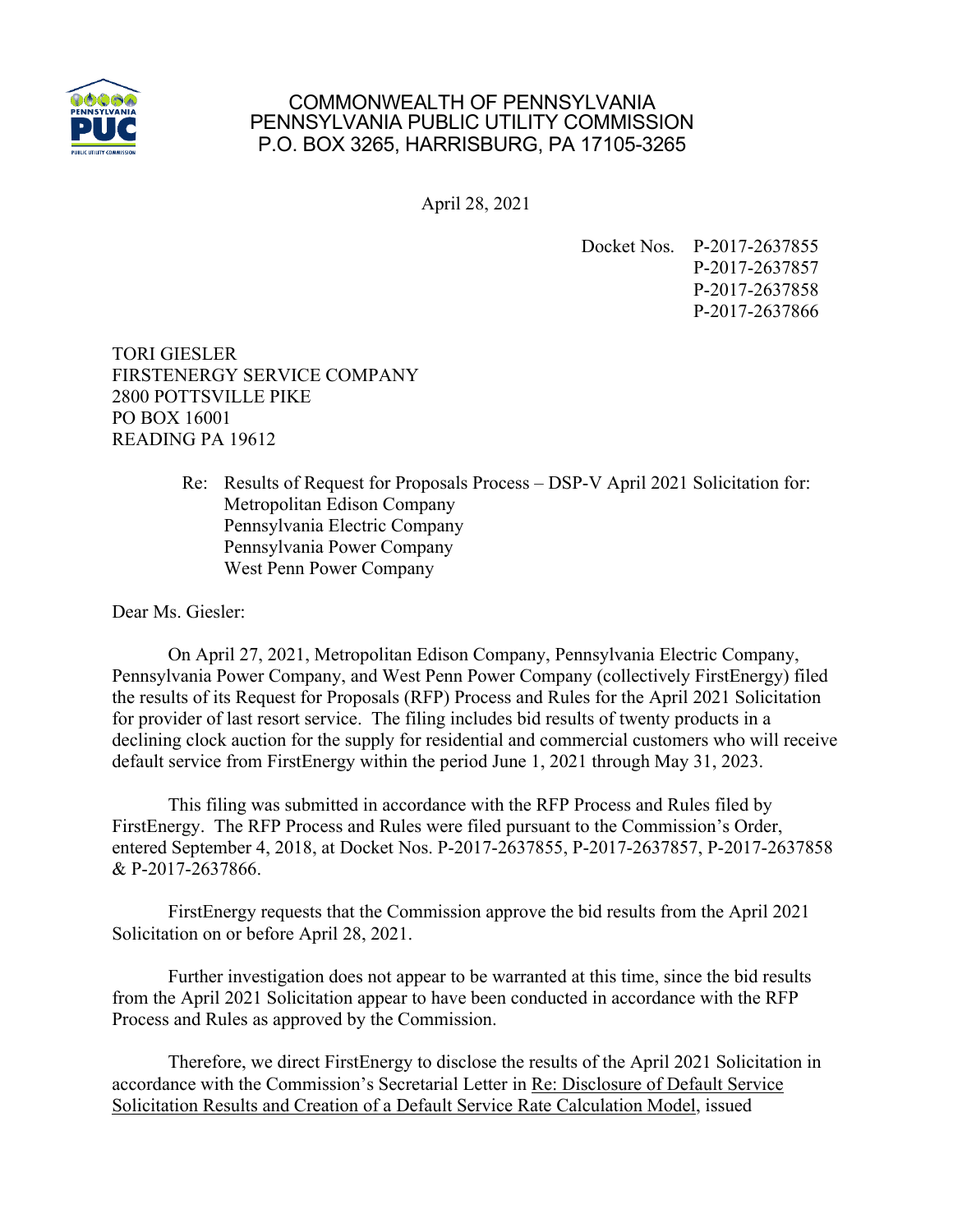

## COMMONWEALTH OF PENNSYLVANIA PENNSYLVANIA PUBLIC UTILITY COMMISSION P.O. BOX 3265, HARRISBURG, PA 17105-3265

April 28, 2021

Docket Nos. P-2017-2637855 P-2017-2637857 P-2017-2637858 P-2017-2637866

TORI GIESLER FIRSTENERGY SERVICE COMPANY 2800 POTTSVILLE PIKE PO BOX 16001 READING PA 19612

> Re: Results of Request for Proposals Process – DSP-V April 2021 Solicitation for: Metropolitan Edison Company Pennsylvania Electric Company Pennsylvania Power Company West Penn Power Company

Dear Ms. Giesler:

On April 27, 2021, Metropolitan Edison Company, Pennsylvania Electric Company, Pennsylvania Power Company, and West Penn Power Company (collectively FirstEnergy) filed the results of its Request for Proposals (RFP) Process and Rules for the April 2021 Solicitation for provider of last resort service. The filing includes bid results of twenty products in a declining clock auction for the supply for residential and commercial customers who will receive default service from FirstEnergy within the period June 1, 2021 through May 31, 2023.

This filing was submitted in accordance with the RFP Process and Rules filed by FirstEnergy. The RFP Process and Rules were filed pursuant to the Commission's Order, entered September 4, 2018, at Docket Nos. P-2017-2637855, P-2017-2637857, P-2017-2637858 & P-2017-2637866.

FirstEnergy requests that the Commission approve the bid results from the April 2021 Solicitation on or before April 28, 2021.

Further investigation does not appear to be warranted at this time, since the bid results from the April 2021 Solicitation appear to have been conducted in accordance with the RFP Process and Rules as approved by the Commission.

Therefore, we direct FirstEnergy to disclose the results of the April 2021 Solicitation in accordance with the Commission's Secretarial Letter in Re: Disclosure of Default Service Solicitation Results and Creation of a Default Service Rate Calculation Model, issued